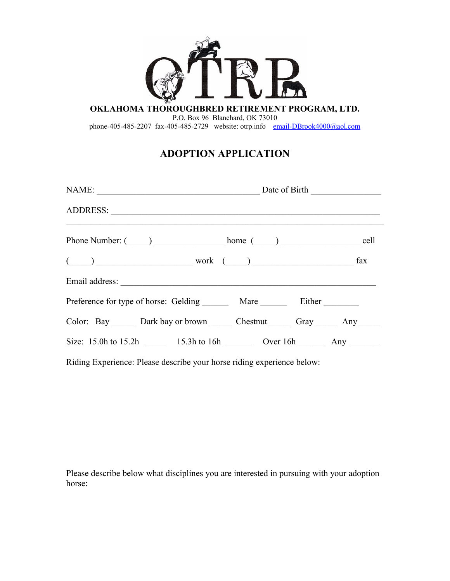

**OKLAHOMA THOROUGHBRED RETIREMENT PROGRAM, LTD.**

P.O. Box 96 Blanchard, OK 73010

phone-405-485-2207 fax-405-485-2729 website: otrp.info [email-DBrook4000@aol.com](mailto:email-rbrookins@otrp.info)

## **ADOPTION APPLICATION**

| NAME: Date of Birth                                                                                                                                                                                                                                                                                                 |  |
|---------------------------------------------------------------------------------------------------------------------------------------------------------------------------------------------------------------------------------------------------------------------------------------------------------------------|--|
|                                                                                                                                                                                                                                                                                                                     |  |
| Phone Number: (_____) ____________________ home (_____) ________________________ cell                                                                                                                                                                                                                               |  |
| $\frac{1}{2}$ $\frac{1}{2}$ $\frac{1}{2}$ $\frac{1}{2}$ $\frac{1}{2}$ $\frac{1}{2}$ $\frac{1}{2}$ $\frac{1}{2}$ $\frac{1}{2}$ $\frac{1}{2}$ $\frac{1}{2}$ $\frac{1}{2}$ $\frac{1}{2}$ $\frac{1}{2}$ $\frac{1}{2}$ $\frac{1}{2}$ $\frac{1}{2}$ $\frac{1}{2}$ $\frac{1}{2}$ $\frac{1}{2}$ $\frac{1}{2}$ $\frac{1}{2}$ |  |
|                                                                                                                                                                                                                                                                                                                     |  |
| Preference for type of horse: Gelding _________ Mare __________ Either _________                                                                                                                                                                                                                                    |  |
| Color: Bay Dark bay or brown Chestnut Gray Any                                                                                                                                                                                                                                                                      |  |
| Size: 15.0h to 15.2h _______ 15.3h to 16h __________ Over 16h __________ Any _______                                                                                                                                                                                                                                |  |
| Riding Experience: Please describe your horse riding experience below:                                                                                                                                                                                                                                              |  |

Please describe below what disciplines you are interested in pursuing with your adoption horse: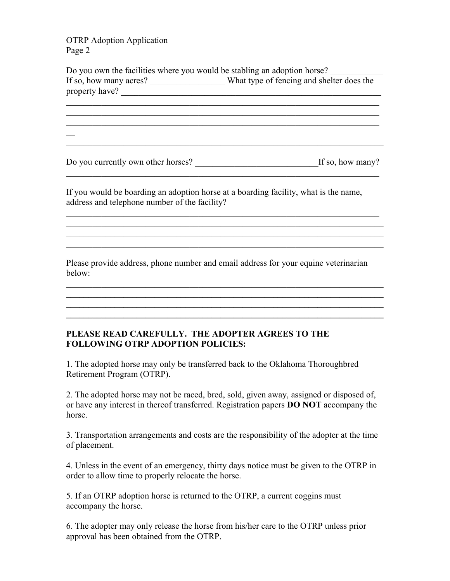OTRP Adoption Application Page 2

 $\mathbb{Z}$ 

Do you own the facilities where you would be stabling an adoption horse? If so, how many acres? What type of fencing and shelter does the property have?

 $\mathcal{L}_\text{max} = \mathcal{L}_\text{max} = \mathcal{L}_\text{max} = \mathcal{L}_\text{max} = \mathcal{L}_\text{max} = \mathcal{L}_\text{max} = \mathcal{L}_\text{max} = \mathcal{L}_\text{max} = \mathcal{L}_\text{max} = \mathcal{L}_\text{max} = \mathcal{L}_\text{max} = \mathcal{L}_\text{max} = \mathcal{L}_\text{max} = \mathcal{L}_\text{max} = \mathcal{L}_\text{max} = \mathcal{L}_\text{max} = \mathcal{L}_\text{max} = \mathcal{L}_\text{max} = \mathcal{$ 

 $\mathcal{L}_\text{max}$  , and the contribution of the contribution of the contribution of the contribution of the contribution of the contribution of the contribution of the contribution of the contribution of the contribution of t

Do you currently own other horses? \_\_\_\_\_\_\_\_\_\_\_\_\_\_\_\_\_\_\_\_\_\_\_\_\_\_\_\_If so, how many?  $\mathcal{L}_\text{max}$  , and the contribution of the contribution of the contribution of the contribution of the contribution of the contribution of the contribution of the contribution of the contribution of the contribution of t

 $\mathcal{L}_\text{max}$  , and the contribution of the contribution of the contribution of the contribution of the contribution of the contribution of the contribution of the contribution of the contribution of the contribution of t  $\mathcal{L}_\text{max}$  , and the contribution of the contribution of the contribution of the contribution of the contribution of the contribution of the contribution of the contribution of the contribution of the contribution of t  $\mathcal{L}_\text{max}$  , and the contribution of the contribution of the contribution of the contribution of the contribution of the contribution of the contribution of the contribution of the contribution of the contribution of t  $\mathcal{L}_\text{max}$  , and the contribution of the contribution of the contribution of the contribution of the contribution of the contribution of the contribution of the contribution of the contribution of the contribution of t

If you would be boarding an adoption horse at a boarding facility, what is the name, address and telephone number of the facility?

Please provide address, phone number and email address for your equine veterinarian below:

 $\mathcal{L}_\text{max}$  , and the contribution of the contribution of the contribution of the contribution of the contribution of the contribution of the contribution of the contribution of the contribution of the contribution of t  $\mathcal{L} = \{ \mathcal{L} \mathcal{L} \mathcal{L} \mathcal{L} \mathcal{L} \mathcal{L} \mathcal{L} \mathcal{L} \mathcal{L} \mathcal{L} \mathcal{L} \mathcal{L} \mathcal{L} \mathcal{L} \mathcal{L} \mathcal{L} \mathcal{L} \mathcal{L} \mathcal{L} \mathcal{L} \mathcal{L} \mathcal{L} \mathcal{L} \mathcal{L} \mathcal{L} \mathcal{L} \mathcal{L} \mathcal{L} \mathcal{L} \mathcal{L} \mathcal{L} \mathcal{L} \mathcal{L} \mathcal{L} \mathcal{L} \$  $\mathcal{L}_\mathcal{L} = \{ \mathcal{L}_\mathcal{L} = \{ \mathcal{L}_\mathcal{L} = \{ \mathcal{L}_\mathcal{L} = \{ \mathcal{L}_\mathcal{L} = \{ \mathcal{L}_\mathcal{L} = \{ \mathcal{L}_\mathcal{L} = \{ \mathcal{L}_\mathcal{L} = \{ \mathcal{L}_\mathcal{L} = \{ \mathcal{L}_\mathcal{L} = \{ \mathcal{L}_\mathcal{L} = \{ \mathcal{L}_\mathcal{L} = \{ \mathcal{L}_\mathcal{L} = \{ \mathcal{L}_\mathcal{L} = \{ \mathcal{L}_\mathcal{$  $\mathcal{L}_\mathcal{L} = \mathcal{L}_\mathcal{L} - \mathcal{L}_\mathcal{L}$ 

## **PLEASE READ CAREFULLY. THE ADOPTER AGREES TO THE FOLLOWING OTRP ADOPTION POLICIES:**

1. The adopted horse may only be transferred back to the Oklahoma Thoroughbred Retirement Program (OTRP).

2. The adopted horse may not be raced, bred, sold, given away, assigned or disposed of, or have any interest in thereof transferred. Registration papers **DO NOT** accompany the horse.

3. Transportation arrangements and costs are the responsibility of the adopter at the time of placement.

4. Unless in the event of an emergency, thirty days notice must be given to the OTRP in order to allow time to properly relocate the horse.

5. If an OTRP adoption horse is returned to the OTRP, a current coggins must accompany the horse.

6. The adopter may only release the horse from his/her care to the OTRP unless prior approval has been obtained from the OTRP.